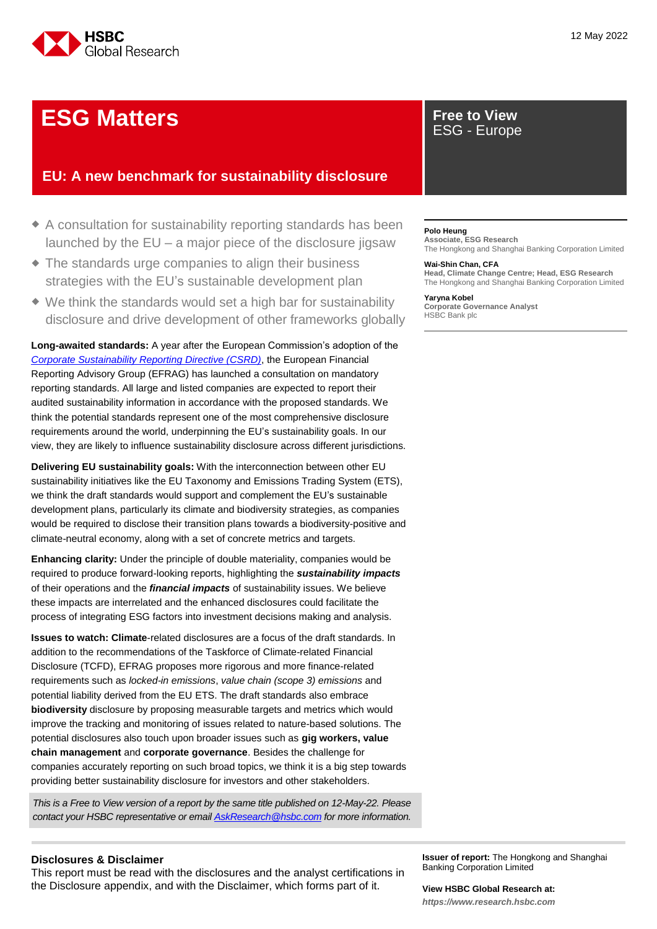

# **ESG Matters Free to View**

## **EU: A new benchmark for sustainability disclosure**

- A consultation for sustainability reporting standards has been launched by the EU – a major piece of the disclosure jigsaw
- The standards urge companies to align their business strategies with the EU's sustainable development plan
- We think the standards would set a high bar for sustainability disclosure and drive development of other frameworks globally

**Long-awaited standards:** A year after the European Commission's adoption of the *[Corporate Sustainability Reporting Directive \(CSRD\)](https://eur-lex.europa.eu/legal-content/EN/TXT/?uri=CELEX:52021PC0189)*, the European Financial Reporting Advisory Group (EFRAG) has launched a consultation on mandatory reporting standards. All large and listed companies are expected to report their audited sustainability information in accordance with the proposed standards. We think the potential standards represent one of the most comprehensive disclosure requirements around the world, underpinning the EU's sustainability goals. In our view, they are likely to influence sustainability disclosure across different jurisdictions.

**Delivering EU sustainability goals:** With the interconnection between other EU sustainability initiatives like the EU Taxonomy and Emissions Trading System (ETS), we think the draft standards would support and complement the EU's sustainable development plans, particularly its climate and biodiversity strategies, as companies would be required to disclose their transition plans towards a biodiversity-positive and climate-neutral economy, along with a set of concrete metrics and targets.

**Enhancing clarity:** Under the principle of double materiality, companies would be required to produce forward-looking reports, highlighting the *sustainability impacts* of their operations and the *financial impacts* of sustainability issues. We believe these impacts are interrelated and the enhanced disclosures could facilitate the process of integrating ESG factors into investment decisions making and analysis.

**Issues to watch: Climate**-related disclosures are a focus of the draft standards. In addition to the recommendations of the Taskforce of Climate-related Financial Disclosure (TCFD), EFRAG proposes more rigorous and more finance-related requirements such as *locked-in emissions*, *value chain (scope 3) emissions* and potential liability derived from the EU ETS. The draft standards also embrace **biodiversity** disclosure by proposing measurable targets and metrics which would improve the tracking and monitoring of issues related to nature-based solutions. The potential disclosures also touch upon broader issues such as **gig workers, value chain management** and **corporate governance**. Besides the challenge for companies accurately reporting on such broad topics, we think it is a big step towards providing better sustainability disclosure for investors and other stakeholders.

*This is a Free to View version of a report by the same title published on 12-May-22. Please contact your HSBC representative or emai[l AskResearch@hsbc.com](mailto:AskResearch@hsbc.com) for more information.*

### **Disclosures & Disclaimer**

This report must be read with the disclosures and the analyst certifications in the Disclosure appendix, and with the Disclaimer, which forms part of it.

# ESG - Europe

#### **Polo Heung**

**Associate, ESG Research** The Hongkong and Shanghai Banking Corporation Limited

#### **Wai-Shin Chan, CFA**

**Head, Climate Change Centre; Head, ESG Research** The Hongkong and Shanghai Banking Corporation Limited

#### **Yaryna Kobel**

**Corporate Governance Analyst** HSBC Bank plc

**Issuer of report:** The Hongkong and Shanghai Banking Corporation Limited

## **View HSBC Global Research at:**

*[https://www.research.hsbc.com](https://www.research.hsbc.com/)*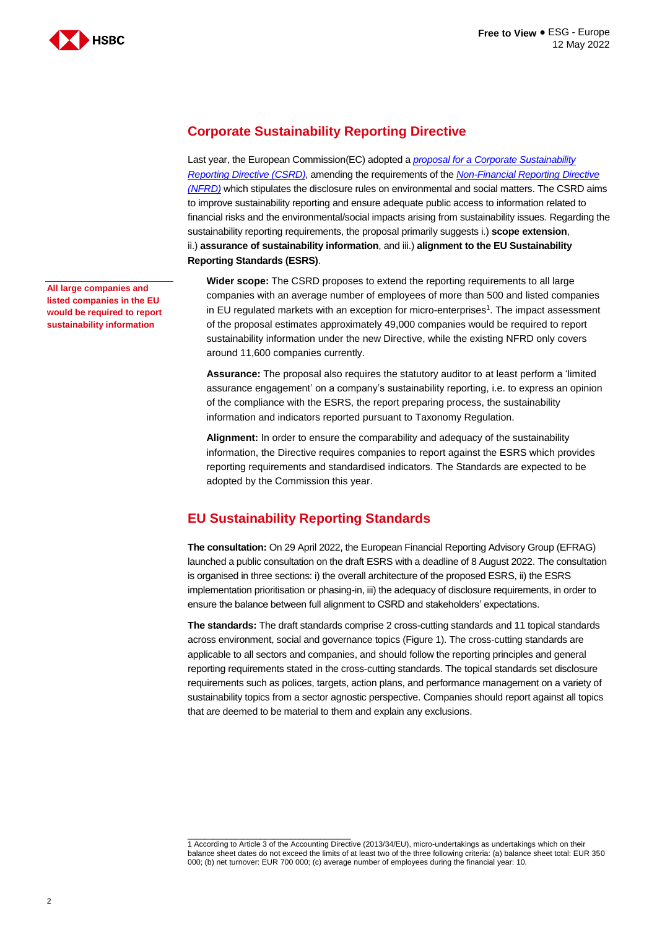

**Corporate Sustainability Reporting Directive** 

Last year, the European Commission(EC) adopted a *[proposal for a Corporate Sustainability](https://eur-lex.europa.eu/legal-content/EN/TXT/?uri=CELEX:52021PC0189)  [Reporting Directive \(CSRD\)](https://eur-lex.europa.eu/legal-content/EN/TXT/?uri=CELEX:52021PC0189)*, amending the requirements of the *[Non-Financial Reporting Directive](https://eur-lex.europa.eu/legal-content/EN/TXT/?uri=CELEX%3A32014L0095)  [\(NFRD\)](https://eur-lex.europa.eu/legal-content/EN/TXT/?uri=CELEX%3A32014L0095)* which stipulates the disclosure rules on environmental and social matters. The CSRD aims to improve sustainability reporting and ensure adequate public access to information related to financial risks and the environmental/social impacts arising from sustainability issues. Regarding the sustainability reporting requirements, the proposal primarily suggests i.) **scope extension**, ii.) **assurance of sustainability information**, and iii.) **alignment to the EU Sustainability Reporting Standards (ESRS)**.

**Wider scope:** The CSRD proposes to extend the reporting requirements to all large companies with an average number of employees of more than 500 and listed companies in EU regulated markets with an exception for micro-enterprises<sup>1</sup>. The impact assessment of the proposal estimates approximately 49,000 companies would be required to report sustainability information under the new Directive, while the existing NFRD only covers around 11,600 companies currently.

**Assurance:** The proposal also requires the statutory auditor to at least perform a 'limited assurance engagement' on a company's sustainability reporting, i.e. to express an opinion of the compliance with the ESRS, the report preparing process, the sustainability information and indicators reported pursuant to Taxonomy Regulation.

**Alignment:** In order to ensure the comparability and adequacy of the sustainability information, the Directive requires companies to report against the ESRS which provides reporting requirements and standardised indicators. The Standards are expected to be adopted by the Commission this year.

### **EU Sustainability Reporting Standards**

**The consultation:** On 29 April 2022, the European Financial Reporting Advisory Group (EFRAG) launched a public consultation on the draft ESRS with a deadline of 8 August 2022. The consultation is organised in three sections: i) the overall architecture of the proposed ESRS, ii) the ESRS implementation prioritisation or phasing-in, iii) the adequacy of disclosure requirements, in order to ensure the balance between full alignment to CSRD and stakeholders' expectations.

**The standards:** The draft standards comprise 2 cross-cutting standards and 11 topical standards across environment, social and governance topics (Figure 1). The cross-cutting standards are applicable to all sectors and companies, and should follow the reporting principles and general reporting requirements stated in the cross-cutting standards. The topical standards set disclosure requirements such as polices, targets, action plans, and performance management on a variety of sustainability topics from a sector agnostic perspective. Companies should report against all topics that are deemed to be material to them and explain any exclusions.

**All large companies and listed companies in the EU would be required to report sustainability information**

\_\_\_\_\_\_\_\_\_\_\_\_\_\_\_\_\_\_\_\_\_\_\_\_\_\_\_\_\_\_\_\_\_\_\_\_\_\_ 1 According to Article 3 of the Accounting Directive (2013/34/EU), micro-undertakings as undertakings which on their balance sheet dates do not exceed the limits of at least two of the three following criteria: (a) balance sheet total: EUR 350 000; (b) net turnover: EUR 700 000; (c) average number of employees during the financial year: 10.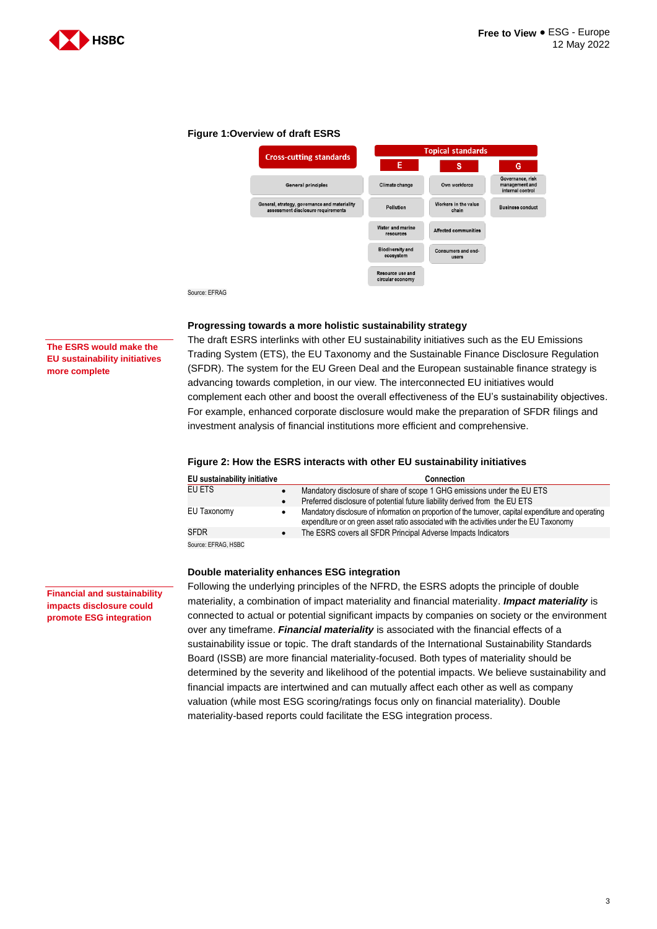

#### **Figure 1:Overview of draft ESRS**



#### **Progressing towards a more holistic sustainability strategy**

The draft ESRS interlinks with other EU sustainability initiatives such as the EU Emissions Trading System (ETS), the EU Taxonomy and the Sustainable Finance Disclosure Regulation (SFDR). The system for the EU Green Deal and the European sustainable finance strategy is advancing towards completion, in our view. The interconnected EU initiatives would complement each other and boost the overall effectiveness of the EU's sustainability objectives. For example, enhanced corporate disclosure would make the preparation of SFDR filings and investment analysis of financial institutions more efficient and comprehensive.

#### **Figure 2: How the ESRS interacts with other EU sustainability initiatives**

| EU sustainability initiative |           | <b>Connection</b>                                                                                                                                                                                |
|------------------------------|-----------|--------------------------------------------------------------------------------------------------------------------------------------------------------------------------------------------------|
| EU ETS                       |           | Mandatory disclosure of share of scope 1 GHG emissions under the EU ETS                                                                                                                          |
|                              | $\bullet$ | Preferred disclosure of potential future liability derived from the EU ETS                                                                                                                       |
| EU Taxonomy                  | ٠         | Mandatory disclosure of information on proportion of the turnover, capital expenditure and operating<br>expenditure or on green asset ratio associated with the activities under the EU Taxonomy |
| <b>SFDR</b>                  |           | The ESRS covers all SFDR Principal Adverse Impacts Indicators                                                                                                                                    |
| Source: EFRAG, HSBC          |           |                                                                                                                                                                                                  |

#### **Double materiality enhances ESG integration**

Following the underlying principles of the NFRD, the ESRS adopts the principle of double materiality, a combination of impact materiality and financial materiality. *Impact materiality* is connected to actual or potential significant impacts by companies on society or the environment over any timeframe. *Financial materiality* is associated with the financial effects of a sustainability issue or topic. The draft standards of the International Sustainability Standards Board (ISSB) are more financial materiality-focused. Both types of materiality should be determined by the severity and likelihood of the potential impacts. We believe sustainability and financial impacts are intertwined and can mutually affect each other as well as company valuation (while most ESG scoring/ratings focus only on financial materiality). Double materiality-based reports could facilitate the ESG integration process.

**The ESRS would make the EU sustainability initiatives more complete**

**Financial and sustainability impacts disclosure could promote ESG integration**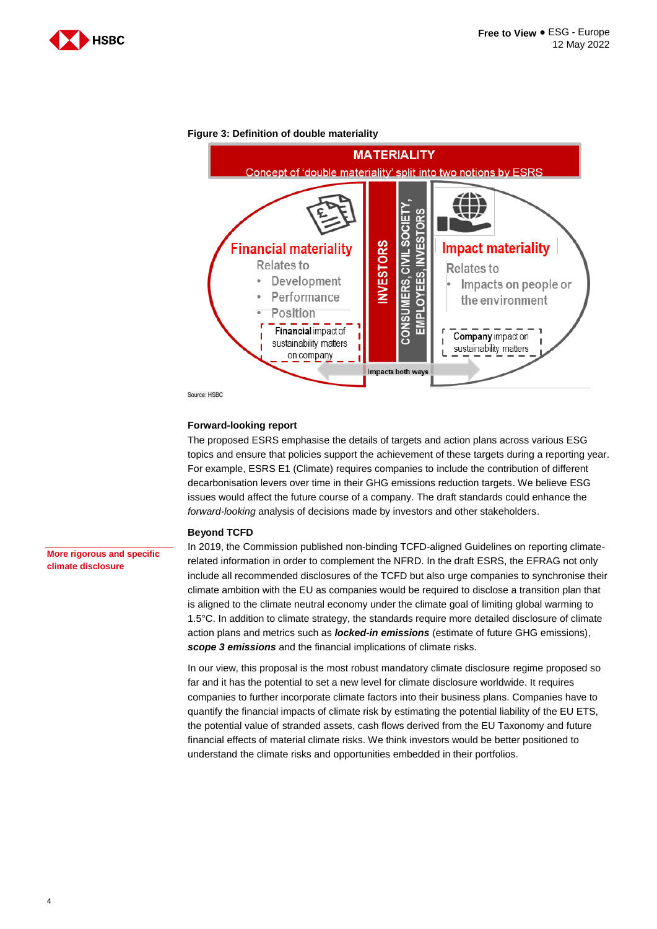



#### **Figure 3: Definition of double materiality**

Source: HSBC

#### **Forward-looking report**

The proposed ESRS emphasise the details of targets and action plans across various ESG topics and ensure that policies support the achievement of these targets during a reporting year. For example, ESRS E1 (Climate) requires companies to include the contribution of different decarbonisation levers over time in their GHG emissions reduction targets. We believe ESG issues would affect the future course of a company. The draft standards could enhance the *forward-looking* analysis of decisions made by investors and other stakeholders.

#### **Beyond TCFD**

In 2019, the Commission published non-binding TCFD-aligned Guidelines on reporting climaterelated information in order to complement the NFRD. In the draft ESRS, the EFRAG not only include all recommended disclosures of the TCFD but also urge companies to synchronise their climate ambition with the EU as companies would be required to disclose a transition plan that is aligned to the climate neutral economy under the climate goal of limiting global warming to 1.5°C. In addition to climate strategy, the standards require more detailed disclosure of climate action plans and metrics such as *locked-in emissions* (estimate of future GHG emissions), *scope 3 emissions* and the financial implications of climate risks.

In our view, this proposal is the most robust mandatory climate disclosure regime proposed so far and it has the potential to set a new level for climate disclosure worldwide. It requires companies to further incorporate climate factors into their business plans. Companies have to quantify the financial impacts of climate risk by estimating the potential liability of the EU ETS, the potential value of stranded assets, cash flows derived from the EU Taxonomy and future financial effects of material climate risks. We think investors would be better positioned to understand the climate risks and opportunities embedded in their portfolios.

**More rigorous and specific climate disclosure**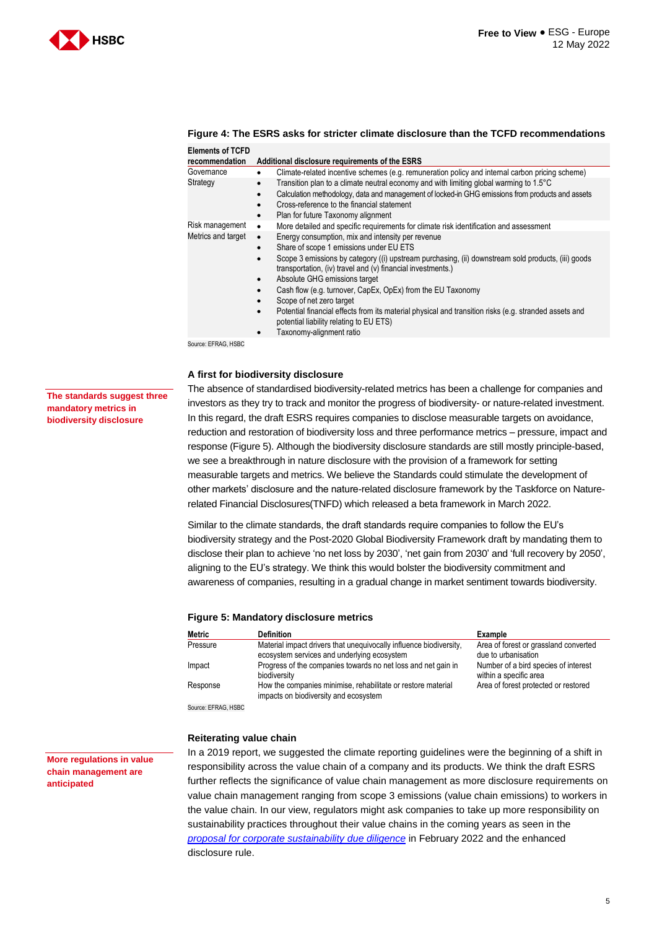



| Figure 4: The ESRS asks for stricter climate disclosure than the TCFD recommendations |  |
|---------------------------------------------------------------------------------------|--|
| <b>Elements of TCFD</b>                                                               |  |

| recommendation     | Additional disclosure requirements of the ESRS                                                                                                                                                                                                                                                                                                                                                                                                                                                                                                          |
|--------------------|---------------------------------------------------------------------------------------------------------------------------------------------------------------------------------------------------------------------------------------------------------------------------------------------------------------------------------------------------------------------------------------------------------------------------------------------------------------------------------------------------------------------------------------------------------|
| Governance         | Climate-related incentive schemes (e.g. remuneration policy and internal carbon pricing scheme)                                                                                                                                                                                                                                                                                                                                                                                                                                                         |
| Strategy           | Transition plan to a climate neutral economy and with limiting global warming to 1.5°C<br>Calculation methodology, data and management of locked-in GHG emissions from products and assets                                                                                                                                                                                                                                                                                                                                                              |
|                    | Cross-reference to the financial statement<br>Plan for future Taxonomy alignment<br>$\bullet$                                                                                                                                                                                                                                                                                                                                                                                                                                                           |
| Risk management    | More detailed and specific requirements for climate risk identification and assessment<br>$\bullet$                                                                                                                                                                                                                                                                                                                                                                                                                                                     |
| Metrics and target | Energy consumption, mix and intensity per revenue<br>$\bullet$<br>Share of scope 1 emissions under EU ETS<br>٠<br>Scope 3 emissions by category ((i) upstream purchasing, (ii) downstream sold products, (iii) goods<br>transportation, (iv) travel and (v) financial investments.)<br>Absolute GHG emissions target<br>$\bullet$<br>Cash flow (e.g. turnover, CapEx, OpEx) from the EU Taxonomy<br>Scope of net zero target<br>٠<br>Potential financial effects from its material physical and transition risks (e.g. stranded assets and<br>$\bullet$ |
|                    | potential liability relating to EU ETS)<br>Taxonomy-alignment ratio                                                                                                                                                                                                                                                                                                                                                                                                                                                                                     |

Source: EFRAG, HSBC

#### **A first for biodiversity disclosure**

**The standards suggest three mandatory metrics in biodiversity disclosure**

The absence of standardised biodiversity-related metrics has been a challenge for companies and investors as they try to track and monitor the progress of biodiversity- or nature-related investment. In this regard, the draft ESRS requires companies to disclose measurable targets on avoidance, reduction and restoration of biodiversity loss and three performance metrics – pressure, impact and response (Figure 5). Although the biodiversity disclosure standards are still mostly principle-based, we see a breakthrough in nature disclosure with the provision of a framework for setting measurable targets and metrics. We believe the Standards could stimulate the development of other markets' disclosure and the nature-related disclosure framework by the Taskforce on Naturerelated Financial Disclosures(TNFD) which released a beta framework in March 2022.

Similar to the climate standards, the draft standards require companies to follow the EU's biodiversity strategy and the Post-2020 Global Biodiversity Framework draft by mandating them to disclose their plan to achieve 'no net loss by 2030', 'net gain from 2030' and 'full recovery by 2050', aligning to the EU's strategy. We think this would bolster the biodiversity commitment and awareness of companies, resulting in a gradual change in market sentiment towards biodiversity.

#### **Figure 5: Mandatory disclosure metrics**

| Metric   | <b>Definition</b>                                                                                                 | Example                                                        |
|----------|-------------------------------------------------------------------------------------------------------------------|----------------------------------------------------------------|
| Pressure | Material impact drivers that unequivocally influence biodiversity.<br>ecosystem services and underlying ecosystem | Area of forest or grassland converted<br>due to urbanisation   |
| Impact   | Progress of the companies towards no net loss and net gain in<br>biodiversity                                     | Number of a bird species of interest<br>within a specific area |
| Response | How the companies minimise, rehabilitate or restore material<br>impacts on biodiversity and ecosystem             | Area of forest protected or restored                           |

Source: EFRAG, HSBC

#### **Reiterating value chain**

**More regulations in value chain management are anticipated**

In a 2019 report, we suggested the climate reporting guidelines were the beginning of a shift in responsibility across the value chain of a company and its products. We think the draft ESRS further reflects the significance of value chain management as more disclosure requirements on value chain management ranging from scope 3 emissions (value chain emissions) to workers in the value chain. In our view, regulators might ask companies to take up more responsibility on sustainability practices throughout their value chains in the coming years as seen in the *[proposal for corporate sustainability due diligence](https://ec.europa.eu/info/sites/default/files/1_2_183888_annex_dir_susta_en.pdf)* in February 2022 and the enhanced disclosure rule.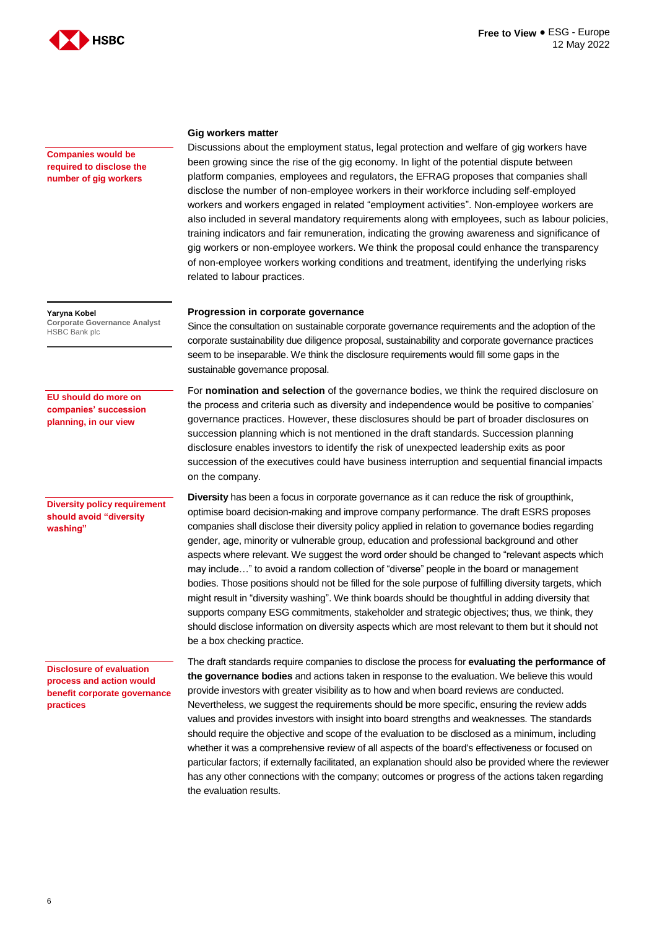

**Companies would be required to disclose the number of gig workers**

**Yaryna Kobel Corporate Governance Analyst** HSBC Bank plc

**EU should do more on companies' succession planning, in our view**

#### **Diversity policy requirement should avoid "diversity washing"**

**Disclosure of evaluation process and action would benefit corporate governance practices**

#### **Gig workers matter**

Discussions about the employment status, legal protection and welfare of gig workers have been growing since the rise of the gig economy. In light of the potential dispute between platform companies, employees and regulators, the EFRAG proposes that companies shall disclose the number of non-employee workers in their workforce including self-employed workers and workers engaged in related "employment activities". Non-employee workers are also included in several mandatory requirements along with employees, such as labour policies, training indicators and fair remuneration, indicating the growing awareness and significance of gig workers or non-employee workers. We think the proposal could enhance the transparency of non-employee workers working conditions and treatment, identifying the underlying risks related to labour practices.

#### **Progression in corporate governance**

Since the consultation on sustainable corporate governance requirements and the adoption of the corporate sustainability due diligence proposal, sustainability and corporate governance practices seem to be inseparable. We think the disclosure requirements would fill some gaps in the sustainable governance proposal.

For **nomination and selection** of the governance bodies, we think the required disclosure on the process and criteria such as diversity and independence would be positive to companies' governance practices. However, these disclosures should be part of broader disclosures on succession planning which is not mentioned in the draft standards. Succession planning disclosure enables investors to identify the risk of unexpected leadership exits as poor succession of the executives could have business interruption and sequential financial impacts on the company.

**Diversity** has been a focus in corporate governance as it can reduce the risk of groupthink, optimise board decision-making and improve company performance. The draft ESRS proposes companies shall disclose their diversity policy applied in relation to governance bodies regarding gender, age, minority or vulnerable group, education and professional background and other aspects where relevant. We suggest the word order should be changed to "relevant aspects which may include…" to avoid a random collection of "diverse" people in the board or management bodies. Those positions should not be filled for the sole purpose of fulfilling diversity targets, which might result in "diversity washing". We think boards should be thoughtful in adding diversity that supports company ESG commitments, stakeholder and strategic objectives; thus, we think, they should disclose information on diversity aspects which are most relevant to them but it should not be a box checking practice.

The draft standards require companies to disclose the process for **evaluating the performance of the governance bodies** and actions taken in response to the evaluation. We believe this would provide investors with greater visibility as to how and when board reviews are conducted. Nevertheless, we suggest the requirements should be more specific, ensuring the review adds values and provides investors with insight into board strengths and weaknesses. The standards should require the objective and scope of the evaluation to be disclosed as a minimum, including whether it was a comprehensive review of all aspects of the board's effectiveness or focused on particular factors; if externally facilitated, an explanation should also be provided where the reviewer has any other connections with the company; outcomes or progress of the actions taken regarding the evaluation results.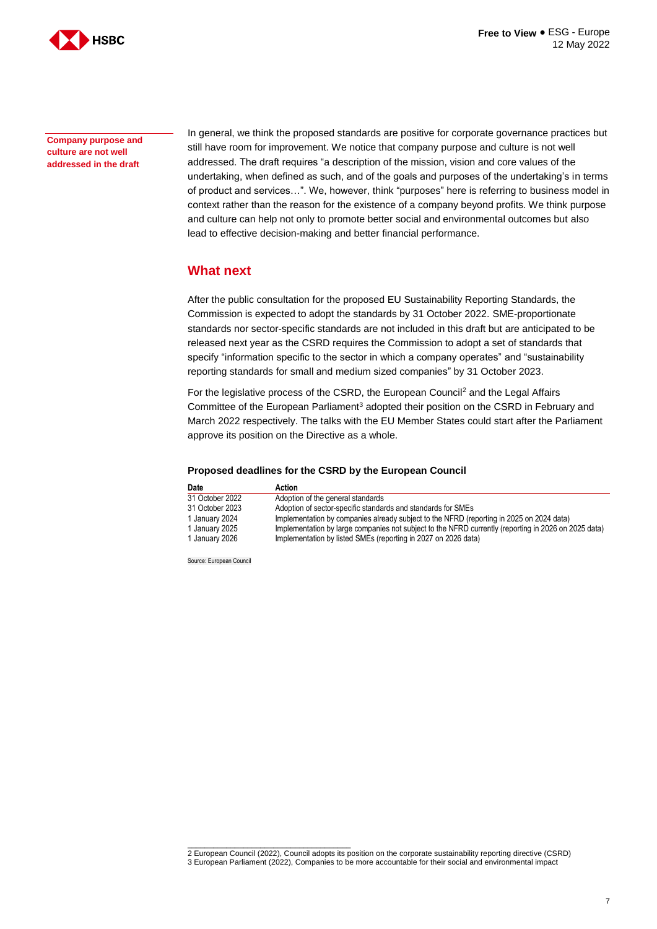

**Company purpose and culture are not well addressed in the draft**

In general, we think the proposed standards are positive for corporate governance practices but still have room for improvement. We notice that company purpose and culture is not well addressed. The draft requires "a description of the mission, vision and core values of the undertaking, when defined as such, and of the goals and purposes of the undertaking's in terms of product and services…". We, however, think "purposes" here is referring to business model in context rather than the reason for the existence of a company beyond profits. We think purpose and culture can help not only to promote better social and environmental outcomes but also lead to effective decision-making and better financial performance.

### **What next**

After the public consultation for the proposed EU Sustainability Reporting Standards, the Commission is expected to adopt the standards by 31 October 2022. SME-proportionate standards nor sector-specific standards are not included in this draft but are anticipated to be released next year as the CSRD requires the Commission to adopt a set of standards that specify "information specific to the sector in which a company operates" and "sustainability reporting standards for small and medium sized companies" by 31 October 2023.

For the legislative process of the CSRD, the European Council<sup>2</sup> and the Legal Affairs Committee of the European Parliament<sup>3</sup> adopted their position on the CSRD in February and March 2022 respectively. The talks with the EU Member States could start after the Parliament approve its position on the Directive as a whole.

#### **Proposed deadlines for the CSRD by the European Council**

| Date            | Action                                                                                               |
|-----------------|------------------------------------------------------------------------------------------------------|
| 31 October 2022 | Adoption of the general standards                                                                    |
| 31 October 2023 | Adoption of sector-specific standards and standards for SMEs                                         |
| 1 January 2024  | Implementation by companies already subject to the NFRD (reporting in 2025 on 2024 data)             |
| 1 January 2025  | Implementation by large companies not subject to the NFRD currently (reporting in 2026 on 2025 data) |
| 1 January 2026  | Implementation by listed SMEs (reporting in 2027 on 2026 data)                                       |

Source: European Council

 $\overline{\phantom{a}}$  , and the set of the set of the set of the set of the set of the set of the set of the set of the set of the set of the set of the set of the set of the set of the set of the set of the set of the set of the s 2 European Council (2022), Council adopts its position on the corporate sustainability reporting directive (CSRD) 3 European Parliament (2022), Companies to be more accountable for their social and environmental impact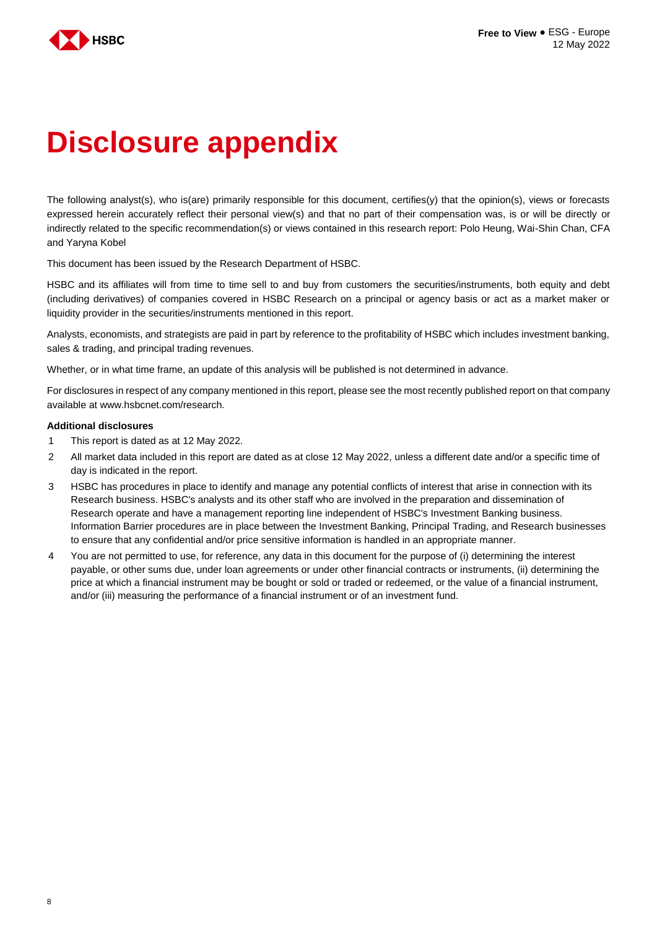

# **Disclosure appendix**

The following analyst(s), who is(are) primarily responsible for this document, certifies(y) that the opinion(s), views or forecasts expressed herein accurately reflect their personal view(s) and that no part of their compensation was, is or will be directly or indirectly related to the specific recommendation(s) or views contained in this research report: Polo Heung, Wai-Shin Chan, CFA and Yaryna Kobel

This document has been issued by the Research Department of HSBC.

HSBC and its affiliates will from time to time sell to and buy from customers the securities/instruments, both equity and debt (including derivatives) of companies covered in HSBC Research on a principal or agency basis or act as a market maker or liquidity provider in the securities/instruments mentioned in this report.

Analysts, economists, and strategists are paid in part by reference to the profitability of HSBC which includes investment banking, sales & trading, and principal trading revenues.

Whether, or in what time frame, an update of this analysis will be published is not determined in advance.

For disclosures in respect of any company mentioned in this report, please see the most recently published report on that company available at www.hsbcnet.com/research.

#### **Additional disclosures**

- 1 This report is dated as at 12 May 2022.
- 2 All market data included in this report are dated as at close 12 May 2022, unless a different date and/or a specific time of day is indicated in the report.
- 3 HSBC has procedures in place to identify and manage any potential conflicts of interest that arise in connection with its Research business. HSBC's analysts and its other staff who are involved in the preparation and dissemination of Research operate and have a management reporting line independent of HSBC's Investment Banking business. Information Barrier procedures are in place between the Investment Banking, Principal Trading, and Research businesses to ensure that any confidential and/or price sensitive information is handled in an appropriate manner.
- 4 You are not permitted to use, for reference, any data in this document for the purpose of (i) determining the interest payable, or other sums due, under loan agreements or under other financial contracts or instruments, (ii) determining the price at which a financial instrument may be bought or sold or traded or redeemed, or the value of a financial instrument, and/or (iii) measuring the performance of a financial instrument or of an investment fund.